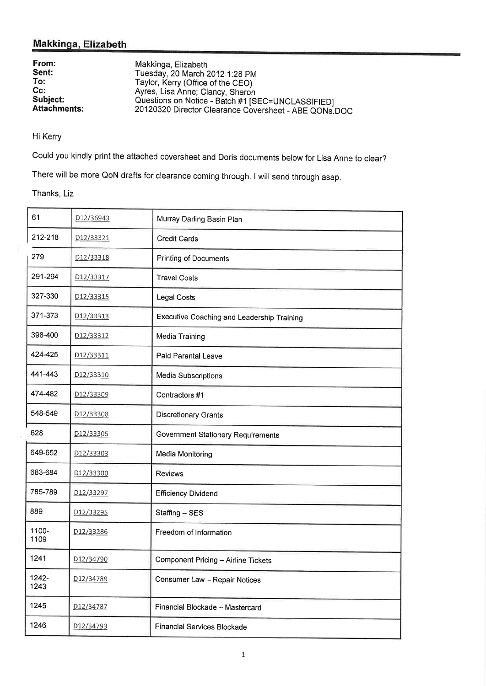# Makkinga, Elizabeth

| From:               | Makkinga, Elizabeth                                   |
|---------------------|-------------------------------------------------------|
| Sent:               | Tuesday, 20 March 2012 1:28 PM                        |
| To:                 | Taylor, Kerry (Office of the CEO)                     |
| $Cc$ :              | Ayres, Lisa Anne; Clancy, Sharon                      |
| Subject:            | Questions on Notice - Batch #1 [SEC=UNCLASSIFIED]     |
| <b>Attachments:</b> | 20120320 Director Clearance Coversheet - ABE QONs.DOC |

Hi Kerry

Could you kindly print the attached coversheet and Doris documents below for Lisa Anne to clear?

There will be more QoN drafts for clearance coming through. I will send through asap.

Thanks, Liz

| 61            | D12/36943              | Murray Darling Basin Plan                  |
|---------------|------------------------|--------------------------------------------|
| 212-218       | <u>D12/33321</u>       | <b>Credit Cards</b>                        |
| 279           | D12/33318              | Printing of Documents                      |
| 291-294       | D12/33317              | <b>Travel Costs</b>                        |
| 327-330       | D <sub>12</sub> /33315 | <b>Legal Costs</b>                         |
| 371-373       | D12/33313              | Executive Coaching and Leadership Training |
| 398-400       | D12/33312              | Media Training                             |
| 424-425       | D12/33311              | Paid Parental Leave                        |
| 441-443       | D12/33310              | Media Subscriptions                        |
| 474-482       | D12/33309              | Contractors #1                             |
| 548-549       | D12/33308              | <b>Discretionary Grants</b>                |
| 628           | D12/33305              | Government Stationery Requirements         |
| 649-652       | D <sub>12</sub> /33303 | Media Monitoring                           |
| 683-684       | D12/33300              | <b>Reviews</b>                             |
| 785-789       | D12/33297              | <b>Efficiency Dividend</b>                 |
| 889           | D12/33295              | Staffing - SES                             |
| 1100-<br>1109 | D12/33286              | Freedom of Information                     |
| 1241          | D <sub>12</sub> /34790 | Component Pricing - Airline Tickets        |
| 1242-<br>1243 | <u>D12/34789</u>       | Consumer Law - Repair Notices              |
| 1245          | D12/34787              | Financial Blockade - Mastercard            |
| 1246          | D <sub>12</sub> /34793 | <b>Financial Services Blockade</b>         |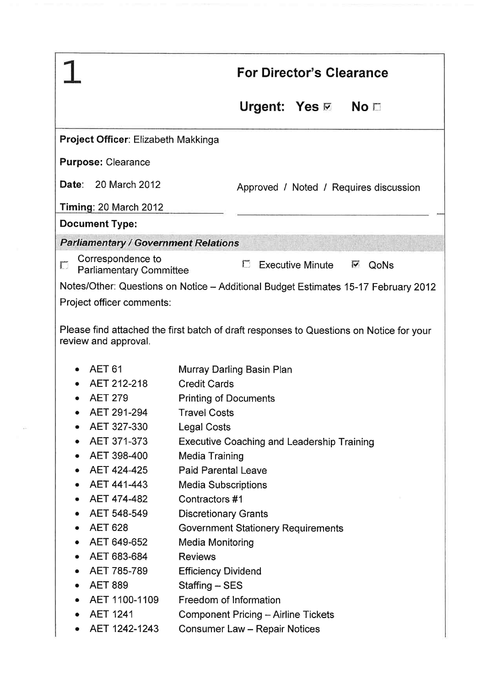|                                                                                    |                                       | <b>For Director's Clearance</b>                                      |  |  |
|------------------------------------------------------------------------------------|---------------------------------------|----------------------------------------------------------------------|--|--|
|                                                                                    |                                       | No <sub>1</sub>                                                      |  |  |
|                                                                                    | Project Officer: Elizabeth Makkinga   |                                                                      |  |  |
|                                                                                    | <b>Purpose: Clearance</b>             |                                                                      |  |  |
|                                                                                    | <b>Date: 20 March 2012</b>            | Approved / Noted / Requires discussion                               |  |  |
|                                                                                    | Timing: 20 March 2012                 |                                                                      |  |  |
|                                                                                    | <b>Document Type:</b>                 |                                                                      |  |  |
| <b>Parliamentary / Government Relations</b>                                        |                                       |                                                                      |  |  |
|                                                                                    | Correspondence to                     |                                                                      |  |  |
| D                                                                                  | <b>Parliamentary Committee</b>        | <b>门</b><br><b>Executive Minute</b><br>M<br>QoNs                     |  |  |
| Notes/Other: Questions on Notice - Additional Budget Estimates 15-17 February 2012 |                                       |                                                                      |  |  |
|                                                                                    | Project officer comments:             |                                                                      |  |  |
|                                                                                    | review and approval.<br><b>AET 61</b> | Murray Darling Basin Plan                                            |  |  |
|                                                                                    | AET 212-218                           | <b>Credit Cards</b>                                                  |  |  |
|                                                                                    | <b>AET 279</b>                        | <b>Printing of Documents</b>                                         |  |  |
|                                                                                    | AET 291-294                           | <b>Travel Costs</b>                                                  |  |  |
|                                                                                    | AET 327-330                           | <b>Legal Costs</b>                                                   |  |  |
|                                                                                    | AET 371-373                           | <b>Executive Coaching and Leadership Training</b>                    |  |  |
|                                                                                    | AET 398-400                           | <b>Media Training</b>                                                |  |  |
| ٠                                                                                  | AET 424-425                           | <b>Paid Parental Leave</b>                                           |  |  |
| ٠                                                                                  | AET 441-443                           | <b>Media Subscriptions</b>                                           |  |  |
| ٠                                                                                  | AET 474-482<br>AET 548-549            | Contractors #1                                                       |  |  |
| ٠                                                                                  | <b>AET 628</b>                        | <b>Discretionary Grants</b>                                          |  |  |
| $\bullet$                                                                          | AET 649-652                           | <b>Government Stationery Requirements</b><br><b>Media Monitoring</b> |  |  |
| ٠                                                                                  | AET 683-684                           | <b>Reviews</b>                                                       |  |  |
|                                                                                    | AET 785-789                           | <b>Efficiency Dividend</b>                                           |  |  |
|                                                                                    | <b>AET 889</b>                        | Staffing - SES                                                       |  |  |
|                                                                                    | AET 1100-1109                         | Freedom of Information                                               |  |  |
|                                                                                    | <b>AET 1241</b>                       | <b>Component Pricing - Airline Tickets</b>                           |  |  |
|                                                                                    |                                       |                                                                      |  |  |

 $\frac{1}{2} \frac{1}{\sqrt{2}} \frac{1}{\sqrt{2}} \frac{1}{\sqrt{2}} \frac{1}{\sqrt{2}} \frac{1}{\sqrt{2}} \frac{1}{\sqrt{2}} \frac{1}{\sqrt{2}} \frac{1}{\sqrt{2}} \frac{1}{\sqrt{2}} \frac{1}{\sqrt{2}} \frac{1}{\sqrt{2}} \frac{1}{\sqrt{2}} \frac{1}{\sqrt{2}} \frac{1}{\sqrt{2}} \frac{1}{\sqrt{2}} \frac{1}{\sqrt{2}} \frac{1}{\sqrt{2}} \frac{1}{\sqrt{2}} \frac{1}{\sqrt{2}} \frac{1}{\sqrt{2}} \frac{1}{\sqrt{2}} \frac{$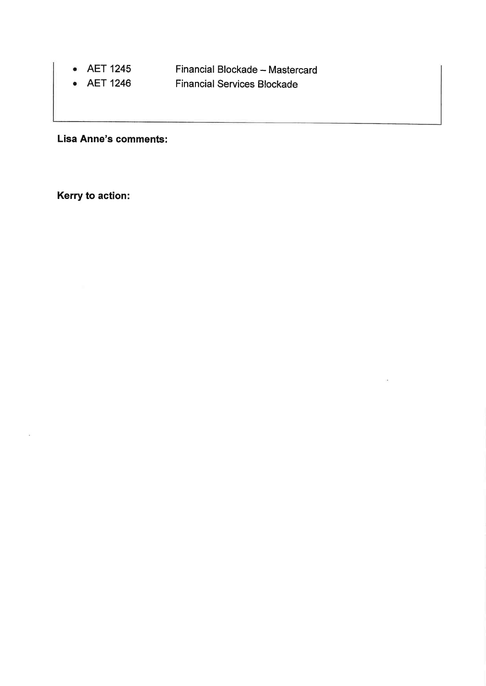- AET 1245 Financial Blockade - Mastercard
- AET 1246 Financial Services Blockade

Lisa Anne's comments:

Kerry to action: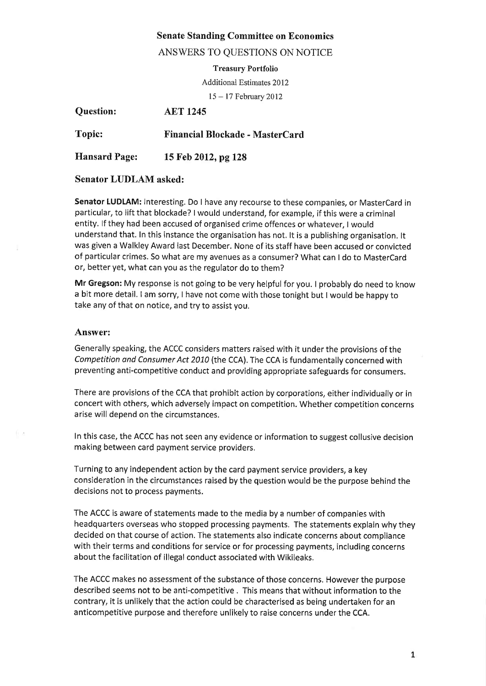# Senate Standing Committee on Economics

## ANSWERS TO QUESTIONS ON NOTICE

#### Treasury Portfolio

Additional Estimates 2012

<sup>15</sup>- 17 February 2012

| <b>Question:</b>     | <b>AET 1245</b>                        |
|----------------------|----------------------------------------|
| <b>Topic:</b>        | <b>Financial Blockade - MasterCard</b> |
| <b>Hansard Page:</b> | 15 Feb 2012, pg 128                    |

## Senator LUDLAM asked:

Senator LUDLAM: Interesting. Do I have any recourse to these companies, or MasterCard in particular, to lift that blockade? I would understand, for example, if this were a criminal entity. lf they had been accused of organised crime offences or whatever, I would understand that. In this instance the organisation has not. lt is a publishing organisation. lt was given a Walkley Award last December. None of its staff have been accused or convicted of particular crimes. So what are my avenues as a consumer? What can I do to MasterCard or, better yet, what can you as the regulator do to them?

Mr Gregson: My response is not going to be very helpful for you. I probably do need to know a bit more detail. I am sorry, I have not come with those tonight but I would be happy to take any of that on notice, and try to assist you,

## Answer:

film

Generally speaking, the ACCC considers matters raised with it under the provisions of the Competition ond Consumer Act 2010 (the CCA). The CCA is fundamentally concerned with preventing anti-competitive conduct and provîding appropriate safeguards for consumers.

There are provisions of the CCA that prohibit action by corporations, either individually or in concert with others, which adversely impact on competition. Whether competition concerns arise will depend on the circumstances.

In this case, the ACCC has not seen any evidence or information to suggest collusive decision making between card payment service providers.

Turning to any independent action by the card payment service providers, a key consideration in the circumstances raised by the question would be the purpose behind the decisions not to process payments.

The ACCC is aware of statements made to the media by a number of companies with headquarters overseas who stopped processing payments. The statements explain why they decided on that course of action. The statements also indicate concerns about compliance with their terms and conditions for service or for processing payments, including concerns about the facilitation of illegal conduct associated with Wikileaks.

The ACCC makes no assessment of the substance ofthose concerns. However the purpose described seems not to be anti-competitive . This means that without information to the contrary, it is unlikely that the action could be characterised as being undertaken for an anticompetitive purpose and therefore unlikely to raise concerns under the CCA.

 $\mathbf{1}$